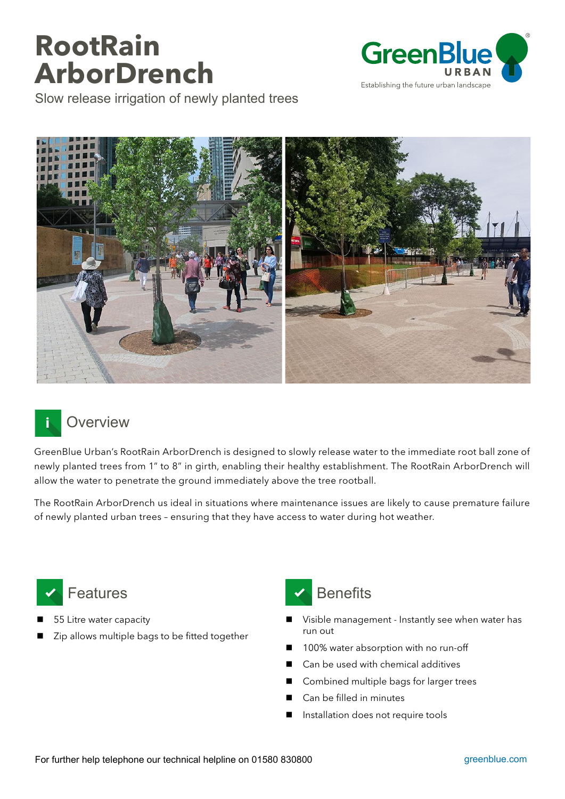## **RootRain ArborDrench**







## **Overview** İ

GreenBlue Urban's RootRain ArborDrench is designed to slowly release water to the immediate root ball zone of newly planted trees from 1" to 8" in girth, enabling their healthy establishment. The RootRain ArborDrench will allow the water to penetrate the ground immediately above the tree rootball.

The RootRain ArborDrench us ideal in situations where maintenance issues are likely to cause premature failure of newly planted urban trees – ensuring that they have access to water during hot weather.



- 55 Litre water capacity
- Zip allows multiple bags to be fitted together



- Visible management Instantly see when water has run out
- 100% water absorption with no run-off
- Can be used with chemical additives
- Combined multiple bags for larger trees
- Can be filled in minutes
- **I** Installation does not require tools